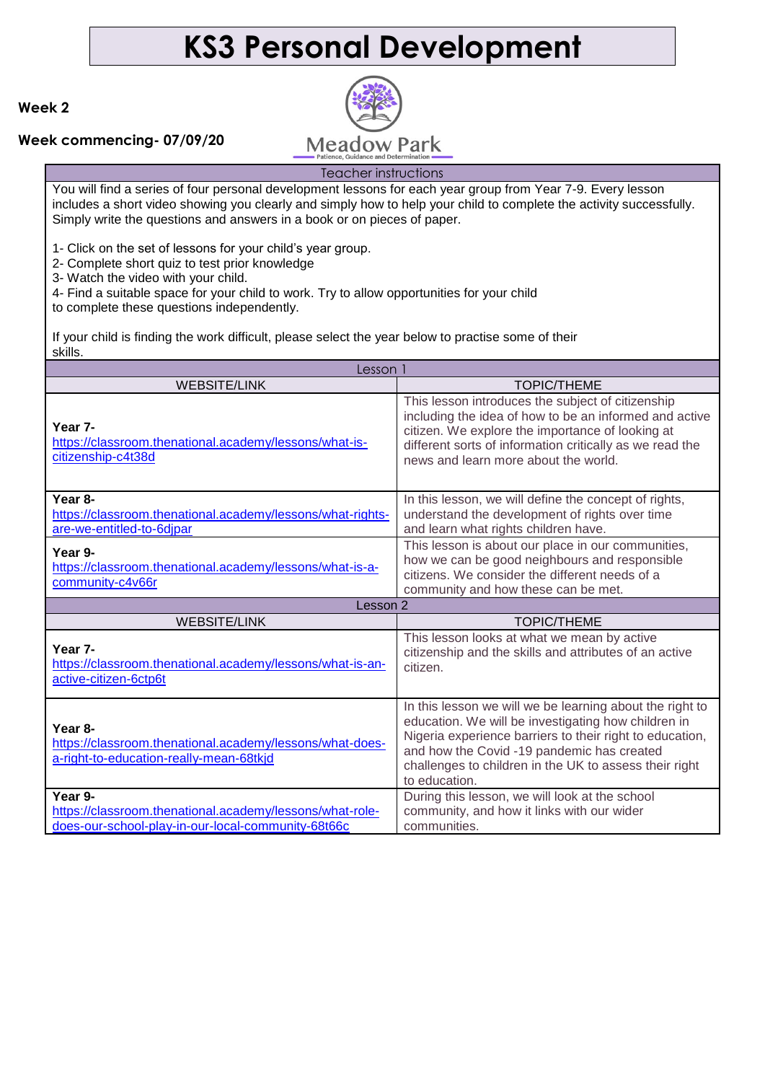# **KS3 Personal Development**

### **Week 2**

### **Week commencing- 07/09/20**



## Teacher instructions

You will find a series of four personal development lessons for each year group from Year 7-9. Every lesson includes a short video showing you clearly and simply how to help your child to complete the activity successfully. Simply write the questions and answers in a book or on pieces of paper.

1- Click on the set of lessons for your child's year group.

2- Complete short quiz to test prior knowledge

3- Watch the video with your child.

4- Find a suitable space for your child to work. Try to allow opportunities for your child

to complete these questions independently.

If your child is finding the work difficult, please select the year below to practise some of their skills.

| Lesson 1                                                                                                                  |                                                                                                                                                                                                                                                                                                      |
|---------------------------------------------------------------------------------------------------------------------------|------------------------------------------------------------------------------------------------------------------------------------------------------------------------------------------------------------------------------------------------------------------------------------------------------|
| <b>WEBSITE/LINK</b>                                                                                                       | <b>TOPIC/THEME</b>                                                                                                                                                                                                                                                                                   |
| Year 7-<br>https://classroom.thenational.academy/lessons/what-is-<br>citizenship-c4t38d                                   | This lesson introduces the subject of citizenship<br>including the idea of how to be an informed and active<br>citizen. We explore the importance of looking at<br>different sorts of information critically as we read the<br>news and learn more about the world.                                  |
| Year 8-<br>https://classroom.thenational.academy/lessons/what-rights-<br>are-we-entitled-to-6djpar                        | In this lesson, we will define the concept of rights,<br>understand the development of rights over time<br>and learn what rights children have.                                                                                                                                                      |
| Year 9-<br>https://classroom.thenational.academy/lessons/what-is-a-<br>community-c4v66r                                   | This lesson is about our place in our communities,<br>how we can be good neighbours and responsible<br>citizens. We consider the different needs of a<br>community and how these can be met.                                                                                                         |
|                                                                                                                           |                                                                                                                                                                                                                                                                                                      |
| Lesson 2                                                                                                                  |                                                                                                                                                                                                                                                                                                      |
| <b>WEBSITE/LINK</b>                                                                                                       | <b>TOPIC/THEME</b>                                                                                                                                                                                                                                                                                   |
| Year 7-<br>https://classroom.thenational.academy/lessons/what-is-an-<br>active-citizen-6ctp6t                             | This lesson looks at what we mean by active<br>citizenship and the skills and attributes of an active<br>citizen.                                                                                                                                                                                    |
| Year 8-<br>https://classroom.thenational.academy/lessons/what-does-<br>a-right-to-education-really-mean-68tkjd<br>Year 9- | In this lesson we will we be learning about the right to<br>education. We will be investigating how children in<br>Nigeria experience barriers to their right to education,<br>and how the Covid -19 pandemic has created<br>challenges to children in the UK to assess their right<br>to education. |